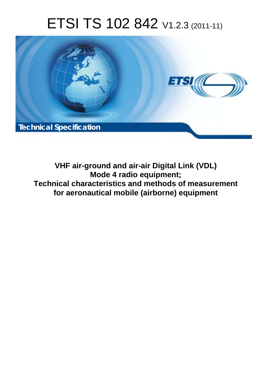# ETSI TS 102 842 V1.2.3 (2011-11)



**VHF air-ground and air-air Digital Link (VDL) Mode 4 radio equipment; Technical characteristics and methods of measurement for aeronautical mobile (airborne) equipment**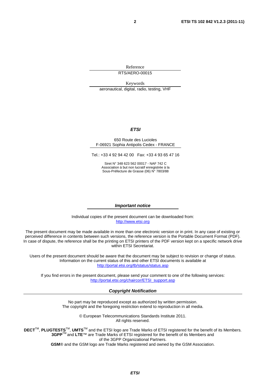Reference RTS/AERO-00015

Keywords aeronautical, digital, radio, testing, VHF

#### *ETSI*

#### 650 Route des Lucioles F-06921 Sophia Antipolis Cedex - FRANCE

Tel.: +33 4 92 94 42 00 Fax: +33 4 93 65 47 16

Siret N° 348 623 562 00017 - NAF 742 C Association à but non lucratif enregistrée à la Sous-Préfecture de Grasse (06) N° 7803/88

#### *Important notice*

Individual copies of the present document can be downloaded from: [http://www.etsi.org](http://www.etsi.org/)

The present document may be made available in more than one electronic version or in print. In any case of existing or perceived difference in contents between such versions, the reference version is the Portable Document Format (PDF). In case of dispute, the reference shall be the printing on ETSI printers of the PDF version kept on a specific network drive within ETSI Secretariat.

Users of the present document should be aware that the document may be subject to revision or change of status. Information on the current status of this and other ETSI documents is available at <http://portal.etsi.org/tb/status/status.asp>

If you find errors in the present document, please send your comment to one of the following services: [http://portal.etsi.org/chaircor/ETSI\\_support.asp](http://portal.etsi.org/chaircor/ETSI_support.asp)

#### *Copyright Notification*

No part may be reproduced except as authorized by written permission. The copyright and the foregoing restriction extend to reproduction in all media.

> © European Telecommunications Standards Institute 2011. All rights reserved.

DECT<sup>™</sup>, PLUGTESTS<sup>™</sup>, UMTS<sup>™</sup> and the ETSI logo are Trade Marks of ETSI registered for the benefit of its Members. **3GPP**TM and **LTE**™ are Trade Marks of ETSI registered for the benefit of its Members and of the 3GPP Organizational Partners.

**GSM**® and the GSM logo are Trade Marks registered and owned by the GSM Association.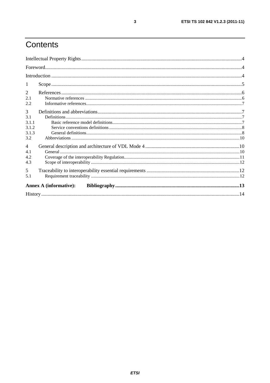# Contents

| -1             |                               |  |
|----------------|-------------------------------|--|
| 2              |                               |  |
| 2.1            |                               |  |
| 2.2            |                               |  |
| 3              |                               |  |
| 3.1            |                               |  |
| 3.1.1          |                               |  |
| 3.1.2          |                               |  |
| 3.1.3          |                               |  |
| 3.2            |                               |  |
| $\overline{4}$ |                               |  |
| 4.1            |                               |  |
| 4.2            |                               |  |
| 4.3            |                               |  |
| 5              |                               |  |
| 5.1            |                               |  |
|                | <b>Annex A (informative):</b> |  |
|                |                               |  |
|                |                               |  |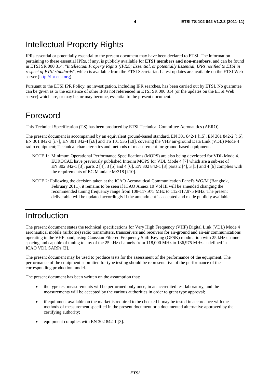IPRs essential or potentially essential to the present document may have been declared to ETSI. The information pertaining to these essential IPRs, if any, is publicly available for **ETSI members and non-members**, and can be found in ETSI SR 000 314: *"Intellectual Property Rights (IPRs); Essential, or potentially Essential, IPRs notified to ETSI in respect of ETSI standards"*, which is available from the ETSI Secretariat. Latest updates are available on the ETSI Web server [\(http://ipr.etsi.org](http://webapp.etsi.org/IPR/home.asp)).

Pursuant to the ETSI IPR Policy, no investigation, including IPR searches, has been carried out by ETSI. No guarantee can be given as to the existence of other IPRs not referenced in ETSI SR 000 314 (or the updates on the ETSI Web server) which are, or may be, or may become, essential to the present document.

### Foreword

This Technical Specification (TS) has been produced by ETSI Technical Committee Aeronautics (AERO).

The present document is accompanied by an equivalent ground-based standard, EN 301 842-1 [i.5], EN 301 842-2 [i.6], EN 301 842-3 [i.7], EN 301 842-4 [i.8] and TS 101 535 [i.9], covering the VHF air-ground Data Link (VDL) Mode 4 radio equipment; Technical characteristics and methods of measurement for ground-based equipment.

- NOTE 1: Minimum Operational Performance Specifications (MOPS) are also being developed for VDL Mode 4. EUROCAE have previously published Interim MOPS for VDL Mode 4 [7] which are a sub-set of EN 302 842-1 [3], parts 2 [4], 3 [5] and 4 [6]. EN 302 842-1 [3] parts 2 [4], 3 [5] and 4 [6] complies with the requirements of EC Mandate M/318 [i.10].
- NOTE 2: Following the decision taken at the ICAO Aeronautical Communication Panel's WG/M (Bangkok, February 2011), it remains to be seen if ICAO Annex 10 Vol III will be amended changing the recommended tuning frequency range from 108-117,975 MHz to 112-117,975 MHz. The present deliverable will be updated accordingly if the amendment is accepted and made publicly available.

# Introduction

The present document states the technical specifications for Very High Frequency (VHF) Digital Link (VDL) Mode 4 aeronautical mobile (airborne) radio transmitters, transceivers and receivers for air-ground and air-air communications operating in the VHF band, using Gaussian Filtered Frequency Shift Keying (GFSK) modulation with 25 kHz channel spacing and capable of tuning to any of the 25 kHz channels from 118,000 MHz to 136,975 MHz as defined in ICAO VDL SARPs [2].

The present document may be used to produce tests for the assessment of the performance of the equipment. The performance of the equipment submitted for type testing should be representative of the performance of the corresponding production model.

The present document has been written on the assumption that:

- the type test measurements will be performed only once, in an accredited test laboratory, and the measurements will be accepted by the various authorities in order to grant type approval;
- if equipment available on the market is required to be checked it may be tested in accordance with the methods of measurement specified in the present document or a documented alternative approved by the certifying authority;
- equipment complies with EN 302 842-1 [3].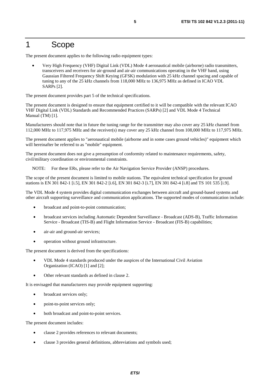### 1 Scope

The present document applies to the following radio equipment types:

• Very High Frequency (VHF) Digital Link (VDL) Mode 4 aeronautical mobile (airborne) radio transmitters, transceivers and receivers for air-ground and air-air communications operating in the VHF band, using Gaussian Filtered Frequency Shift Keying (GFSK) modulation with 25 kHz channel spacing and capable of tuning to any of the 25 kHz channels from 118,000 MHz to 136,975 MHz as defined in ICAO VDL SARPs [2].

The present document provides part 5 of the technical specifications.

The present document is designed to ensure that equipment certified to it will be compatible with the relevant ICAO VHF Digital Link (VDL) Standards and Recommended Practices (SARPs) [2] and VDL Mode 4 Technical Manual (TM) [1].

Manufacturers should note that in future the tuning range for the transmitter may also cover any 25 kHz channel from 112,000 MHz to 117,975 MHz and the receiver(s) may cover any 25 kHz channel from 108,000 MHz to 117,975 MHz.

The present document applies to "aeronautical mobile (airborne and in some cases ground vehicles)" equipment which will hereinafter be referred to as "mobile" equipment.

The present document does not give a presumption of conformity related to maintenance requirements, safety, civil/military coordination or environmental constraints.

NOTE: For these ERs, please refer to the Air Navigation Service Provider (ANSP) procedures.

The scope of the present document is limited to mobile stations. The equivalent technical specification for ground stations is EN 301 842-1 [i.5], EN 301 842-2 [i.6], EN 301 842-3 [i.7], EN 301 842-4 [i.8] and TS 101 535 [i.9].

The VDL Mode 4 system provides digital communication exchanges between aircraft and ground-based systems and other aircraft supporting surveillance and communication applications. The supported modes of communication include:

- broadcast and point-to-point communication;
- broadcast services including Automatic Dependent Surveillance Broadcast (ADS-B), Traffic Information Service - Broadcast (TIS-B) and Flight Information Service - Broadcast (FIS-B) capabilities;
- air-air and ground-air services;
- operation without ground infrastructure.

The present document is derived from the specifications:

- VDL Mode 4 standards produced under the auspices of the International Civil Aviation Organization (ICAO) [1] and [2];
- Other relevant standards as defined in clause 2.

It is envisaged that manufacturers may provide equipment supporting:

- broadcast services only;
- point-to-point services only;
- both broadcast and point-to-point services.

The present document includes:

- clause 2 provides references to relevant documents;
- clause 3 provides general definitions, abbreviations and symbols used;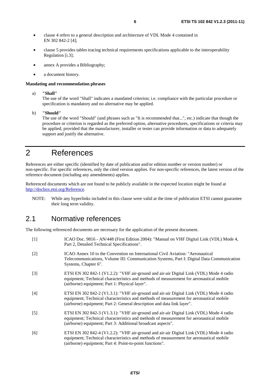- clause 4 refers to a general description and architecture of VDL Mode 4 contained in EN 302 842-2 [4];
- clause 5 provides tables tracing technical requirements specifications applicable to the interoperability Regulation [i.3];
- annex A provides a Bibliography;
- a document history.

#### **Mandating and recommendation phrases**

a) **"Shall"**

The use of the word "Shall" indicates a mandated criterion; i.e. compliance with the particular procedure or specification is mandatory and no alternative may be applied.

b) **"Should"**

The use of the word "Should" (and phrases such as "It is recommended that...", etc.) indicate that though the procedure or criterion is regarded as the preferred option, alternative procedures, specifications or criteria may be applied, provided that the manufacturer, installer or tester can provide information or data to adequately support and justify the alternative.

### 2 References

References are either specific (identified by date of publication and/or edition number or version number) or non-specific. For specific references, only the cited version applies. For non-specific references, the latest version of the reference document (including any amendments) applies.

Referenced documents which are not found to be publicly available in the expected location might be found at <http://docbox.etsi.org/Reference>.

NOTE: While any hyperlinks included in this clause were valid at the time of publication ETSI cannot guarantee their long term validity.

#### 2.1 Normative references

The following referenced documents are necessary for the application of the present document.

| $[1]$             | ICAO Doc. 9816 - AN/448 (First Edition 2004): "Manual on VHF Digital Link (VDL) Mode 4,<br>Part 2, Detailed Technical Specifications".                                                                                                                        |
|-------------------|---------------------------------------------------------------------------------------------------------------------------------------------------------------------------------------------------------------------------------------------------------------|
| $\lceil 2 \rceil$ | ICAO Annex 10 to the Convention on International Civil Aviation: "Aeronautical<br>Telecommunications, Volume III: Communication Systems, Part I: Digital Data Communication<br>Systems, Chapter 6".                                                           |
| $\lceil 3 \rceil$ | ETSI EN 302 842-1 (V1.2.2): "VHF air-ground and air-air Digital Link (VDL) Mode 4 radio<br>equipment; Technical characteristics and methods of measurement for aeronautical mobile<br>(airborne) equipment; Part 1: Physical layer".                          |
| [4]               | ETSI EN 302 842-2 (V1.3.1): "VHF air-ground and air-air Digital Link (VDL) Mode 4 radio<br>equipment; Technical characteristics and methods of measurement for aeronautical mobile<br>(airborne) equipment; Part 2: General description and data link layer". |
| $\lceil 5 \rceil$ | ETSI EN 302 842-3 (V1.3.1): "VHF air-ground and air-air Digital Link (VDL) Mode 4 radio<br>equipment; Technical characteristics and methods of measurement for aeronautical mobile<br>(airborne) equipment; Part 3: Additional broadcast aspects".            |
| [6]               | ETSI EN 302 842-4 (V1.2.2): "VHF air-ground and air-air Digital Link (VDL) Mode 4 radio<br>equipment; Technical characteristics and methods of measurement for aeronautical mobile<br>(airborne) equipment; Part 4: Point-to-point functions".                |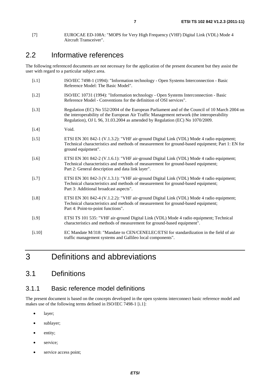### 2.2 Informative references

The following referenced documents are not necessary for the application of the present document but they assist the user with regard to a particular subject area.

| [i.1]   | ISO/IEC 7498-1 (1994): "Information technology - Open Systems Interconnection - Basic<br>Reference Model: The Basic Model".                                                                                                                                                |
|---------|----------------------------------------------------------------------------------------------------------------------------------------------------------------------------------------------------------------------------------------------------------------------------|
| [i.2]   | ISO/IEC 10731 (1994): "Information technology - Open Systems Interconnection - Basic<br>Reference Model - Conventions for the definition of OSI services".                                                                                                                 |
| [i.3]   | Regulation (EC) No 552/2004 of the European Parliament and of the Council of 10 March 2004 on<br>the interoperability of the European Air Traffic Management network (the interoperability<br>Regulation), OJ L 96, 31.03.2004 as amended by Regulation (EC) No 1070/2009. |
| $[1.4]$ | Void.                                                                                                                                                                                                                                                                      |
| [i.5]   | ETSI EN 301 842-1 (V.1.3.2): "VHF air-ground Digital Link (VDL) Mode 4 radio equipment;<br>Technical characteristics and methods of measurement for ground-based equipment; Part 1: EN for<br>ground equipment".                                                           |
| [i.6]   | ETSI EN 301 842-2 (V.1.6.1): "VHF air-ground Digital Link (VDL) Mode 4 radio equipment;<br>Technical characteristics and methods of measurement for ground-based equipment;<br>Part 2: General description and data link layer".                                           |
| [i.7]   | ETSI EN 301 842-3 (V.1.3.1): "VHF air-ground Digital Link (VDL) Mode 4 radio equipment;<br>Technical characteristics and methods of measurement for ground-based equipment;<br>Part 3: Additional broadcast aspects".                                                      |
| [i.8]   | ETSI EN 301 842-4 (V.1.2.2): "VHF air-ground Digital Link (VDL) Mode 4 radio equipment;<br>Technical characteristics and methods of measurement for ground-based equipment;<br>Part 4: Point-to-point functions".                                                          |
| [i.9]   | ETSI TS 101 535: "VHF air-ground Digital Link (VDL) Mode 4 radio equipment; Technical<br>characteristics and methods of measurement for ground-based equipment".                                                                                                           |
| [i.10]  | EC Mandate M/318: "Mandate to CEN/CENELEC/ETSI for standardization in the field of air<br>traffic management systems and Gallileo local components".                                                                                                                       |
|         |                                                                                                                                                                                                                                                                            |

# 3 Definitions and abbreviations

### 3.1 Definitions

#### 3.1.1 Basic reference model definitions

The present document is based on the concepts developed in the open systems interconnect basic reference model and makes use of the following terms defined in ISO/IEC 7498-1 [i.1]:

- layer;
- sublayer;
- entity;
- service;
- service access point;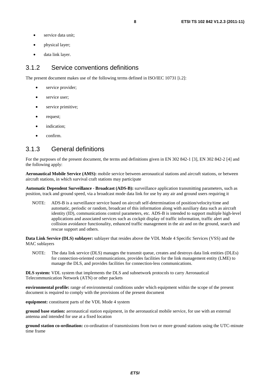- service data unit:
- physical layer;
- data link layer.

#### 3.1.2 Service conventions definitions

The present document makes use of the following terms defined in ISO/IEC 10731 [i.2]:

- service provider;
- service user;
- service primitive;
- request;
- indication:
- confirm.

#### 3.1.3 General definitions

For the purposes of the present document, the terms and definitions given in EN 302 842-1 [3], EN 302 842-2 [4] and the following apply:

**Aeronautical Mobile Service (AMS):** mobile service between aeronautical stations and aircraft stations, or between aircraft stations, in which survival craft stations may participate

**Automatic Dependent Surveillance - Broadcast (ADS-B):** surveillance application transmitting parameters, such as position, track and ground speed, via a broadcast mode data link for use by any air and ground users requiring it

NOTE: ADS-B is a surveillance service based on aircraft self-determination of position/velocity/time and automatic, periodic or random, broadcast of this information along with auxiliary data such as aircraft identity (ID), communications control parameters, etc. ADS-B is intended to support multiple high-level applications and associated services such as cockpit display of traffic information, traffic alert and collision avoidance functionality, enhanced traffic management in the air and on the ground, search and rescue support and others.

**Data Link Service (DLS) sublayer:** sublayer that resides above the VDL Mode 4 Specific Services (VSS) and the MAC sublayers

NOTE: The data link service (DLS) manages the transmit queue, creates and destroys data link entities (DLEs) for connection-oriented communications, provides facilities for the link management entity (LME) to manage the DLS, and provides facilities for connection-less communications.

**DLS system:** VDL system that implements the DLS and subnetwork protocols to carry Aeronautical Telecommunication Network (ATN) or other packets

**environmental profile:** range of environmental conditions under which equipment within the scope of the present document is required to comply with the provisions of the present document

**equipment:** constituent parts of the VDL Mode 4 system

**ground base station:** aeronautical station equipment, in the aeronautical mobile service, for use with an external antenna and intended for use at a fixed location

**ground station co-ordination:** co-ordination of transmissions from two or more ground stations using the UTC-minute time frame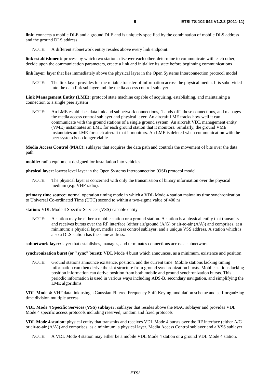**link:** connects a mobile DLE and a ground DLE and is uniquely specified by the combination of mobile DLS address and the ground DLS address

NOTE: A different subnetwork entity resides above every link endpoint.

**link establishment:** process by which two stations discover each other, determine to communicate with each other, decide upon the communication parameters, create a link and initialize its state before beginning communications

**link layer:** layer that lies immediately above the physical layer in the Open Systems Interconnection protocol model

NOTE: The link layer provides for the reliable transfer of information across the physical media. It is subdivided into the data link sublayer and the media access control sublayer.

**Link Management Entity (LME):** protocol state machine capable of acquiring, establishing, and maintaining a connection to a single peer system

NOTE: An LME establishes data link and subnetwork connections, "hands-off" those connections, and manages the media access control sublayer and physical layer. An aircraft LME tracks how well it can communicate with the ground stations of a single ground system. An aircraft VDL management entity (VME) instantiates an LME for each ground station that it monitors. Similarly, the ground VME instantiates an LME for each aircraft that it monitors. An LME is deleted when communication with the peer system is no longer viable.

**Media Access Control (MAC):** sublayer that acquires the data path and controls the movement of bits over the data path

**mobile:** radio equipment designed for installation into vehicles

**physical layer:** lowest level layer in the Open Systems Interconnection (OSI) protocol model

NOTE: The physical layer is concerned with only the transmission of binary information over the physical medium (e.g. VHF radio).

**primary time source:** normal operation timing mode in which a VDL Mode 4 station maintains time synchronization to Universal Co-ordinated Time (UTC) second to within a two-sigma value of 400 ns

**station:** VDL Mode 4 Specific Services (VSS)-capable entity

NOTE: A station may be either a mobile station or a ground station. A station is a physical entity that transmits and receives bursts over the RF interface (either air/ground (A/G) or air-to-air (A/A)) and comprises, at a minimum: a physical layer, media access control sublayer, and a unique VSS address. A station which is also a DLS station has the same address.

**subnetwork layer:** layer that establishes, manages, and terminates connections across a subnetwork

**synchronization burst (or "sync" burst):** VDL Mode 4 burst which announces, as a minimum, existence and position

NOTE: Ground stations announce existence, position, and the current time. Mobile stations lacking timing information can then derive the slot structure from ground synchronization bursts. Mobile stations lacking position information can derive position from both mobile and ground synchronization bursts. This periodic information is used in various ways including ADS-B, secondary navigation, and simplifying the LME algorithms.

**VDL Mode 4:** VHF data link using a Gaussian Filtered Frequency Shift Keying modulation scheme and self-organizing time division multiple access

**VDL Mode 4 Specific Services (VSS) sublayer:** sublayer that resides above the MAC sublayer and provides VDL Mode 4 specific access protocols including reserved, random and fixed protocols

**VDL Mode 4 station:** physical entity that transmits and receives VDL Mode 4 bursts over the RF interface (either A/G or air-to-air (A/A)) and comprises, as a minimum: a physical layer, Media Access Control sublayer and a VSS sublayer

NOTE: A VDL Mode 4 station may either be a mobile VDL Mode 4 station or a ground VDL Mode 4 station.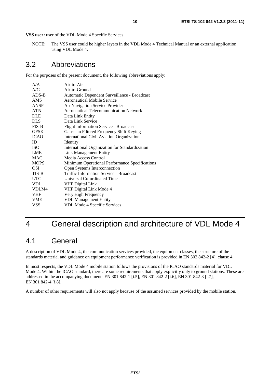**VSS user:** user of the VDL Mode 4 Specific Services

NOTE: The VSS user could be higher layers in the VDL Mode 4 Technical Manual or an external application using VDL Mode 4.

#### 3.2 Abbreviations

For the purposes of the present document, the following abbreviations apply:

| A/A         | Air-to-Air                                     |
|-------------|------------------------------------------------|
| A/G         | Air-to-Ground                                  |
| $ADS-B$     | Automatic Dependent Surveillance - Broadcast   |
| AMS         | Aeronautical Mobile Service                    |
| <b>ANSP</b> | Air Navigation Service Provider                |
| <b>ATN</b>  | <b>Aeronautical Telecommunication Network</b>  |
| <b>DLE</b>  | Data Link Entity                               |
| <b>DLS</b>  | Data Link Service                              |
| $FIS-B$     | <b>Flight Information Service - Broadcast</b>  |
| <b>GFSK</b> | Gaussian Filtered Frequency Shift Keying       |
| <b>ICAO</b> | International Civil Aviation Organization      |
| ID          | Identity                                       |
| <b>ISO</b>  | International Organization for Standardization |
| <b>LME</b>  | <b>Link Management Entity</b>                  |
| <b>MAC</b>  | Media Access Control                           |
| <b>MOPS</b> | Minimum Operational Performance Specifications |
| OSI         | Open Systems Interconnection                   |
| TIS-B       | <b>Traffic Information Service - Broadcast</b> |
| <b>UTC</b>  | Universal Co-ordinated Time                    |
| <b>VDL</b>  | <b>VHF Digital Link</b>                        |
| VDLM4       | VHF Digital Link Mode 4                        |
| <b>VHF</b>  | Very High Frequency                            |
| <b>VME</b>  | <b>VDL Management Entity</b>                   |
| VSS         | <b>VDL Mode 4 Specific Services</b>            |

# 4 General description and architecture of VDL Mode 4

#### 4.1 General

A description of VDL Mode 4, the communication services provided, the equipment classes, the structure of the standards material and guidance on equipment performance verification is provided in EN 302 842-2 [4], clause 4.

In most respects, the VDL Mode 4 mobile station follows the provisions of the ICAO standards material for VDL Mode 4. Within the ICAO standard, there are some requirements that apply explicitly only to ground stations. These are addressed in the accompanying documents EN 301 842-1 [i.5], EN 301 842-2 [i.6], EN 301 842-3 [i.7], EN 301 842-4 [i.8].

A number of other requirements will also not apply because of the assumed services provided by the mobile station.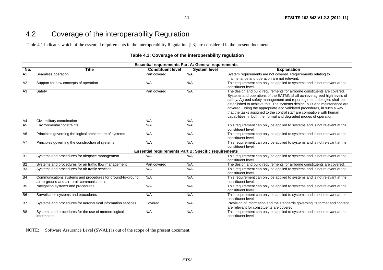### 4.2 Coverage of the interoperability Regulation

Table 4.1 indicates which of the essential requirements in the interoperability Regulation [i.3] are considered in the present document.

#### **Table 4.1: Coverage of the interoperability regulation**

**11**

| <b>Essential requirements Part A: General requirements</b> |                                                                                                            |                                                             |                     |                                                                                                                                                                                                                                                                                                                                                                                                                                                                                                                                     |  |  |
|------------------------------------------------------------|------------------------------------------------------------------------------------------------------------|-------------------------------------------------------------|---------------------|-------------------------------------------------------------------------------------------------------------------------------------------------------------------------------------------------------------------------------------------------------------------------------------------------------------------------------------------------------------------------------------------------------------------------------------------------------------------------------------------------------------------------------------|--|--|
| No.                                                        | <b>Title</b>                                                                                               | <b>Constituent level</b>                                    | <b>System level</b> | <b>Explanation</b>                                                                                                                                                                                                                                                                                                                                                                                                                                                                                                                  |  |  |
| A1                                                         | Seamless operation                                                                                         | <b>Part covered</b>                                         | N/A                 | System requirements are not covered. Requirements relating to                                                                                                                                                                                                                                                                                                                                                                                                                                                                       |  |  |
|                                                            |                                                                                                            |                                                             |                     | maintenance and operation are not relevant.                                                                                                                                                                                                                                                                                                                                                                                                                                                                                         |  |  |
| A2                                                         | Support for new concepts of operation                                                                      | N/A                                                         | N/A                 | This requirement can only be applied to systems and is not relevant at the<br>constituent level.                                                                                                                                                                                                                                                                                                                                                                                                                                    |  |  |
| A3                                                         | Safety                                                                                                     | Part covered                                                | N/A                 | The design and build requirements for airborne constituents are covered.<br>Systems and operations of the EATMN shall achieve agreed high levels of<br>safety. Agreed safety management and reporting methodologies shall be<br>established to achieve this. The systems design, built and maintenance are<br>covered. Using the appropriate and validated procedures, in such a way<br>that the tasks assigned to the control staff are compatible with human<br>capabilities, in both the normal and degraded modes of operation. |  |  |
| A4                                                         | Civil-military coordination                                                                                | N/A                                                         | N/A                 |                                                                                                                                                                                                                                                                                                                                                                                                                                                                                                                                     |  |  |
| A <sub>5</sub>                                             | <b>Environmental constraints</b>                                                                           | N/A                                                         | N/A                 | This requirement can only be applied to systems and is not relevant at the<br>constituent level.                                                                                                                                                                                                                                                                                                                                                                                                                                    |  |  |
| A <sub>6</sub>                                             | Principles governing the logical architecture of systems                                                   | N/A                                                         | N/A                 | This requirement can only be applied to systems and is not relevant at the<br>constituent level.                                                                                                                                                                                                                                                                                                                                                                                                                                    |  |  |
| <b>A7</b>                                                  | Principles governing the construction of systems                                                           | N/A                                                         | N/A                 | This requirement can only be applied to systems and is not relevant at the<br>constituent level.                                                                                                                                                                                                                                                                                                                                                                                                                                    |  |  |
|                                                            |                                                                                                            | <b>Essential requirements Part B: Specific requirements</b> |                     |                                                                                                                                                                                                                                                                                                                                                                                                                                                                                                                                     |  |  |
| B <sub>1</sub>                                             | Systems and procedures for airspace management                                                             | N/A                                                         | N/A                 | This requirement can only be applied to systems and is not relevant at the<br>constituent level.                                                                                                                                                                                                                                                                                                                                                                                                                                    |  |  |
| B <sub>2</sub>                                             | Systems and procedures for air traffic flow management                                                     | Part covered                                                | N/A                 | The design and build requirements for airborne constituents are covered.                                                                                                                                                                                                                                                                                                                                                                                                                                                            |  |  |
| B <sub>3</sub>                                             | Systems and procedures for air traffic services                                                            | N/A                                                         | N/A                 | This requirement can only be applied to systems and is not relevant at the<br>constituent level.                                                                                                                                                                                                                                                                                                                                                                                                                                    |  |  |
| <b>B4</b>                                                  | Communications systems and procedures for ground-to-ground,<br>air-to-ground and air-to-air communications | N/A                                                         | N/A                 | This requirement can only be applied to systems and is not relevant at the<br>constituent level.                                                                                                                                                                                                                                                                                                                                                                                                                                    |  |  |
| B <sub>5</sub>                                             | Navigation systems and procedures                                                                          | N/A                                                         | N/A                 | This requirement can only be applied to systems and is not relevant at the<br>constituent level.                                                                                                                                                                                                                                                                                                                                                                                                                                    |  |  |
| B <sub>6</sub>                                             | Surveillance systems and procedures                                                                        | N/A                                                         | N/A                 | This requirement can only be applied to systems and is not relevant at the<br>constituent level.                                                                                                                                                                                                                                                                                                                                                                                                                                    |  |  |
| B7                                                         | Systems and procedures for aeronautical information services                                               | Covered                                                     | N/A                 | Provision of information and the standards governing its format and content<br>are relevant for constituents are covered.                                                                                                                                                                                                                                                                                                                                                                                                           |  |  |
| B <sub>8</sub>                                             | Systems and procedures for the use of meteorological<br>information                                        | N/A                                                         | N/A                 | This requirement can only be applied to systems and is not relevant at the<br>constituent level.                                                                                                                                                                                                                                                                                                                                                                                                                                    |  |  |

NOTE: Software Assurance Level (SWAL) is out of the scope of the present document.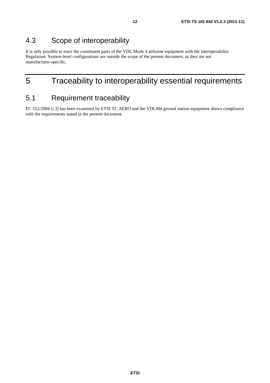### 4.3 Scope of interoperability

It is only possible to trace the constituent parts of the VDL Mode 4 airborne equipment with the interoperability Regulation. System-level configurations are outside the scope of the present document, as they are not manufacturer-specific.

### 5 Traceability to interoperability essential requirements

### 5.1 Requirement traceability

EC 552/2004 [i.3] has been examined by ETSI TC AERO and the VDLM4 ground station equipment shows compliance with the requirements stated in the present document.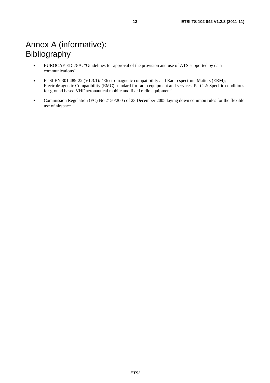# Annex A (informative): Bibliography

- EUROCAE ED-78A: "Guidelines for approval of the provision and use of ATS supported by data communications".
- ETSI EN 301 489-22 (V1.3.1): "Electromagnetic compatibility and Radio spectrum Matters (ERM); ElectroMagnetic Compatibility (EMC) standard for radio equipment and services; Part 22: Specific conditions for ground based VHF aeronautical mobile and fixed radio equipment".
- Commission Regulation (EC) No 2150/2005 of 23 December 2005 laying down common rules for the flexible use of airspace.